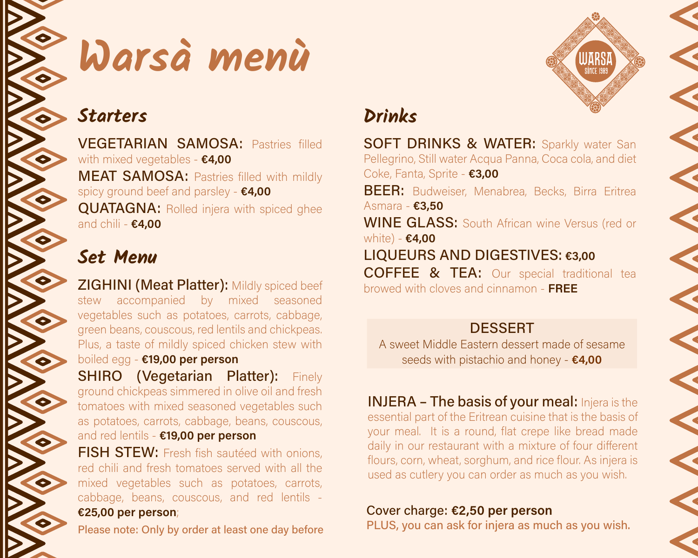

# Warsa menù

### **Starters**

**VEGETARIAN SAMOSA: Pastries filled** with mixed vegetables -  $\epsilon$ 4,00 **MEAT SAMOSA: Pastries filled with mildly** spicy ground beef and parsley - €4,00 **QUATAGNA: Rolled injera with spiced ghee** and chili -  $€4,00$ 

## **Set Menu**

**ZIGHINI (Meat Platter): Mildly spiced beef** stew accompanied by mixed seasoned vegetables such as potatoes, carrots, cabbage, green beans, couscous, red lentils and chickpeas. Plus, a taste of mildly spiced chicken stew with boiled egg - €19,00 per person

**SHIRO (Vegetarian Platter):** Finely ground chickpeas simmered in olive oil and fresh tomatoes with mixed seasoned vegetables such as potatoes, carrots, cabbage, beans, couscous, and red lentils - €19,00 per person

FISH STEW: Fresh fish sautéed with onions, red chili and fresh tomatoes served with all the mixed vegetables such as potatoes, carrots, cabbage, beans, couscous, and red lentils -€25,00 per person;

Please note: Only by order at least one day before

# Drinks

**SOFT DRINKS & WATER:** Sparkly water San Pellegrino, Still water Acqua Panna, Coca cola, and diet Coke, Fanta, Sprite - €3,00 BEER: Budweiser, Menabrea, Becks, Birra Eritrea Asmara - £3,50 **WINE GLASS:** South African wine Versus (red or white) -  $$4,00$ LIQUEURS AND DIGESTIVES: €3,00 **COFFEE & TEA:** Our special traditional tea browed with cloves and cinnamon - FREE

**DESSERT** A sweet Middle Eastern dessert made of sesame seeds with pistachio and honey - €4,00

**INJERA - The basis of your meal:** Injera is the essential part of the Eritrean cuisine that is the basis of your meal. It is a round, flat crepe like bread made daily in our restaurant with a mixture of four different flours, corn, wheat, sorghum, and rice flour. As injera is used as cutlery you can order as much as you wish.

Cover charge: €2,50 per person PLUS, you can ask for injera as much as you wish.